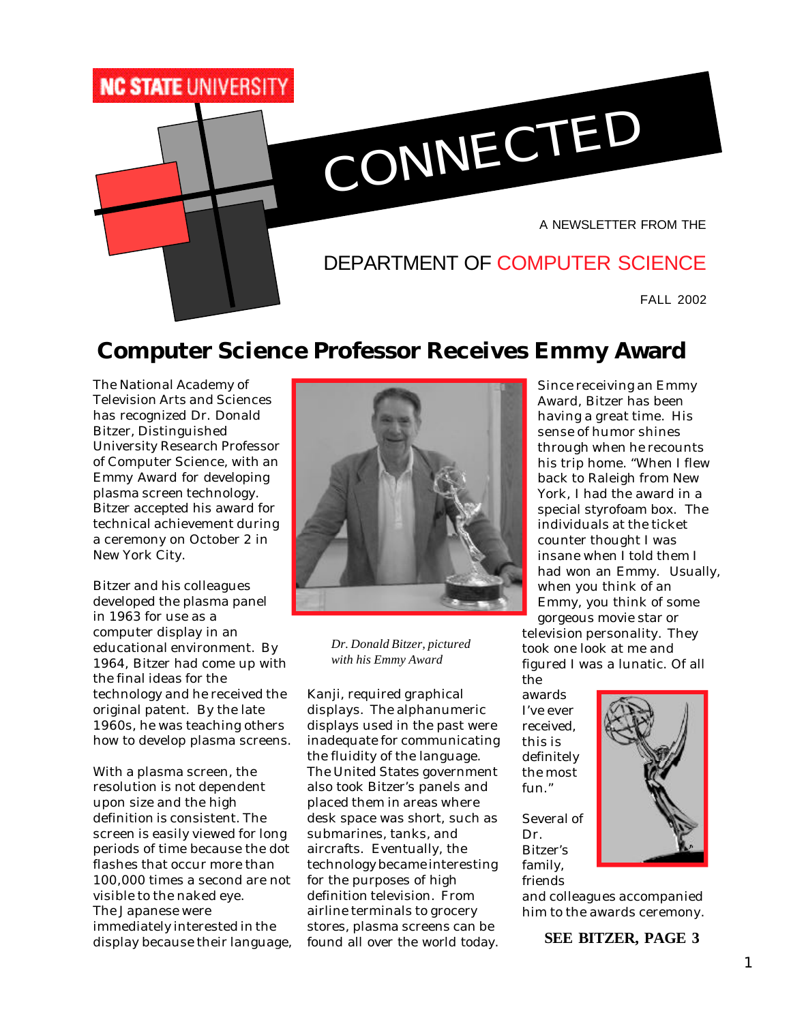

# **Computer Science Professor Receives Emmy Award**

The National Academy of Television Arts and Sciences has recognized Dr. Donald Bitzer, Distinguished University Research Professor of Computer Science, with an Emmy Award for developing plasma screen technology. Bitzer accepted his award for technical achievement during a ceremony on October 2 in New York City.

Bitzer and his colleagues developed the plasma panel in 1963 for use as a computer display in an educational environment. By 1964, Bitzer had come up with the final ideas for the technology and he received the original patent. By the late 1960s, he was teaching others how to develop plasma screens.

With a plasma screen, the resolution is not dependent upon size and the high definition is consistent. The screen is easily viewed for long periods of time because the dot flashes that occur more than 100,000 times a second are not visible to the naked eye. The Japanese were immediately interested in the display because their language,



*Dr. Donald Bitzer, pictured with his Emmy Award*

Kanji, required graphical displays. The alphanumeric displays used in the past were inadequate for communicating the fluidity of the language. The United States government also took Bitzer's panels and placed them in areas where desk space was short, such as submarines, tanks, and aircrafts. Eventually, the technology became interesting for the purposes of high definition television. From airline terminals to grocery stores, plasma screens can be found all over the world today.

Since receiving an Emmy Award, Bitzer has been having a great time. His sense of humor shines through when he recounts his trip home. "When I flew back to Raleigh from New York, I had the award in a special styrofoam box. The individuals at the ticket counter thought I was insane when I told them I had won an Emmy. Usually, when you think of an Emmy, you think of some gorgeous movie star or

television personality. They took one look at me and figured I was a lunatic. Of all the

awards I've ever received, this is definitely the most fun."

Several of Dr. Bitzer's family, friends

and colleagues accompanied him to the awards ceremony.

**SEE BITZER, PAGE 3**

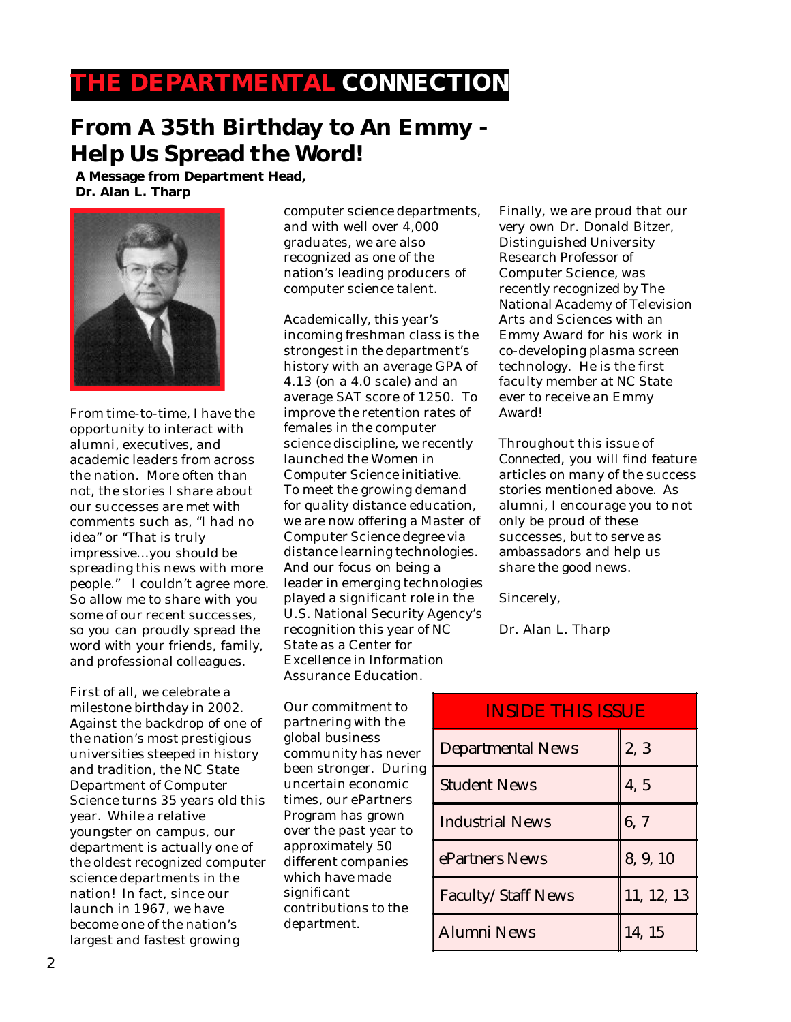## **THE DEPARTMENTAL CONNECTION**

# **From A 35th Birthday to An Emmy - Help Us Spread the Word!**

**A Message from Department Head, Dr. Alan L. Tharp**



From time-to-time, I have the opportunity to interact with alumni, executives, and academic leaders from across the nation. More often than not, the stories I share about our successes are met with comments such as, "I had no idea" or "That is truly impressive…you should be spreading this news with more people." I couldn't agree more. So allow me to share with you some of our recent successes, so you can proudly spread the word with your friends, family, and professional colleagues.

First of all, we celebrate a milestone birthday in 2002. Against the backdrop of one of the nation's most prestigious universities steeped in history and tradition, the NC State Department of Computer Science turns 35 years old this year. While a relative youngster on campus, our department is actually one of the oldest recognized computer science departments in the nation! In fact, since our launch in 1967, we have become one of the nation's largest and fastest growing

computer science departments, and with well over 4,000 graduates, we are also recognized as one of the nation's leading producers of computer science talent.

Academically, this year's incoming freshman class is the strongest in the department's history with an average GPA of 4.13 (on a 4.0 scale) and an average SAT score of 1250. To improve the retention rates of females in the computer science discipline, we recently launched the Women in Computer Science initiative. To meet the growing demand for quality distance education, we are now offering a Master of Computer Science degree via distance learning technologies. And our focus on being a leader in emerging technologies played a significant role in the U.S. National Security Agency's recognition this year of NC State as a Center for Excellence in Information Assurance Education.

Our commitment to partnering with the global business community has never been stronger. During uncertain economic times, our ePartners Program has grown over the past year to approximately 50 different companies which have made significant contributions to the department.

Finally, we are proud that our very own Dr. Donald Bitzer, Distinguished University Research Professor of Computer Science, was recently recognized by The National Academy of Television Arts and Sciences with an Emmy Award for his work in co-developing plasma screen technology. He is the first faculty member at NC State ever to receive an Emmy Award!

Throughout this issue of *Connected*, you will find feature articles on many of the success stories mentioned above. As alumni, I encourage you to not only be proud of these successes, but to serve as ambassadors and help us share the good news.

Sincerely,

Dr. Alan L. Tharp

| <b>INSIDE THIS ISSUE</b>  |            |  |  |  |
|---------------------------|------------|--|--|--|
| <b>Departmental News</b>  | 2, 3       |  |  |  |
| <b>Student News</b>       | 4, 5       |  |  |  |
| <b>Industrial News</b>    | 6, 7       |  |  |  |
| ePartners News            | 8, 9, 10   |  |  |  |
| <b>Faculty/Staff News</b> | 11, 12, 13 |  |  |  |
| <b>Alumni News</b>        | 14, 15     |  |  |  |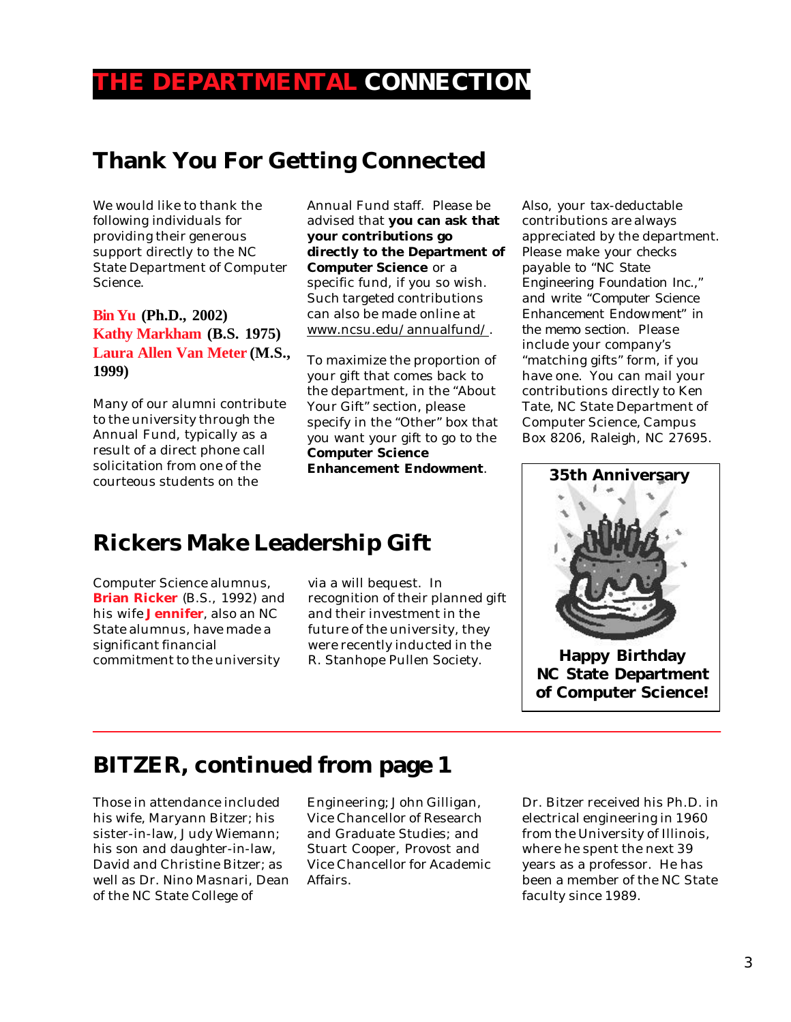## **THE DEPARTMENTAL CONNECTION**

## **Thank You For Getting Connected**

We would like to thank the following individuals for providing their generous support directly to the NC State Department of Computer Science.

**Bin Yu (Ph.D., 2002) Kathy Markham (B.S. 1975) Laura Allen Van Meter (M.S., 1999)**

Many of our alumni contribute to the university through the Annual Fund, typically as a result of a direct phone call solicitation from one of the courteous students on the

Annual Fund staff. Please be advised that **you can ask that your contributions go directly to the Department of Computer Science** or a specific fund, if you so wish. Such targeted contributions can also be made online at www.ncsu.edu/annualfund/.

To maximize the proportion of your gift that comes back to the department, in the "About Your Gift" section, please specify in the "Other" box that you want your gift to go to the **Computer Science Enhancement Endowment**.

## **Rickers Make Leadership Gift**

Computer Science alumnus, **Brian Ricker** (B.S., 1992) and his wife **Jennifer**, also an NC State alumnus, have made a significant financial commitment to the university

via a will bequest. In recognition of their planned gift and their investment in the future of the university, they were recently inducted in the R. Stanhope Pullen Society.

Also, your tax-deductable contributions are always appreciated by the department. *Please make your checks payable to "NC State Engineering Foundation Inc.," and write "Computer Science Enhancement Endowment" in the memo section.* Please include your company's "matching gifts" form, if you have one. You can mail your contributions directly to Ken Tate, NC State Department of Computer Science, Campus Box 8206, Raleigh, NC 27695.



**NC State Department of Computer Science!**

## **BITZER, continued from page 1**

Those in attendance included his wife, Maryann Bitzer; his sister-in-law, Judy Wiemann; his son and daughter-in-law, David and Christine Bitzer; as well as Dr. Nino Masnari, Dean of the NC State College of

Engineering; John Gilligan, Vice Chancellor of Research and Graduate Studies; and Stuart Cooper, Provost and Vice Chancellor for Academic Affairs.

Dr. Bitzer received his Ph.D. in electrical engineering in 1960 from the University of Illinois, where he spent the next 39 years as a professor. He has been a member of the NC State faculty since 1989.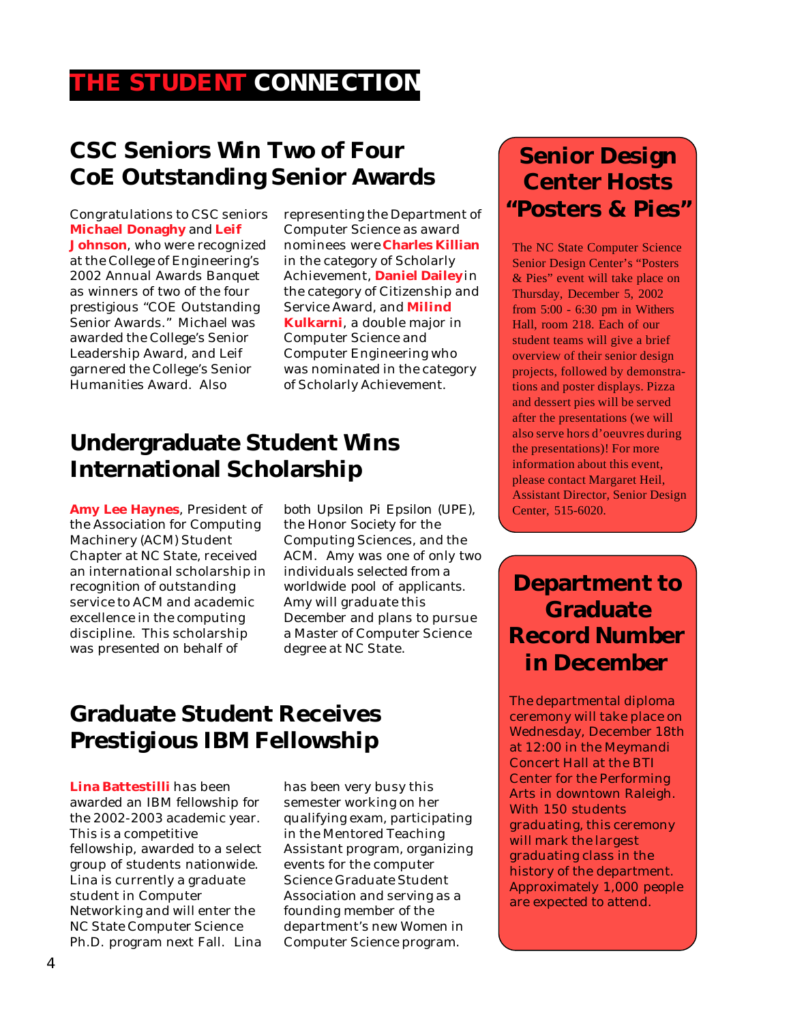# **THE STUDENT CONNECTION**

# **CSC Seniors Win Two of Four CoE Outstanding Senior Awards**

Congratulations to CSC seniors **Michael Donaghy** and **Leif Johnson**, who were recognized at the College of Engineering's 2002 Annual Awards Banquet as winners of two of the four prestigious "COE Outstanding Senior Awards." Michael was awarded the College's Senior Leadership Award, and Leif garnered the College's Senior Humanities Award. Also

representing the Department of Computer Science as award nominees were **Charles Killian** in the category of Scholarly Achievement, **Daniel Dailey** in the category of Citizenship and Service Award, and **Milind Kulkarni**, a double major in Computer Science and Computer Engineering who was nominated in the category of Scholarly Achievement.

# **Undergraduate Student Wins International Scholarship**

**Amy Lee Haynes**, President of the Association for Computing Machinery (ACM) Student Chapter at NC State, received an international scholarship in recognition of outstanding service to ACM and academic excellence in the computing discipline. This scholarship was presented on behalf of

both Upsilon Pi Epsilon (UPE), the Honor Society for the Computing Sciences, and the ACM. Amy was one of only two individuals selected from a worldwide pool of applicants. Amy will graduate this December and plans to pursue a Master of Computer Science degree at NC State.

## **Graduate Student Receives Prestigious IBM Fellowship**

**Lina Battestilli** has been awarded an IBM fellowship for the 2002-2003 academic year. This is a competitive fellowship, awarded to a select group of students nationwide. Lina is currently a graduate student in Computer Networking and will enter the NC State Computer Science Ph.D. program next Fall. Lina has been very busy this semester working on her qualifying exam, participating in the Mentored Teaching Assistant program, organizing events for the computer Science Graduate Student Association and serving as a founding member of the department's new Women in Computer Science program.

# **Senior Design Center Hosts "Posters & Pies"**

The NC State Computer Science Senior Design Center's "Posters & Pies" event will take place on Thursday, December 5, 2002 from 5:00 - 6:30 pm in Withers Hall, room 218. Each of our student teams will give a brief overview of their senior design projects, followed by demonstrations and poster displays. Pizza and dessert pies will be served after the presentations (we will also serve hors d'oeuvres during the presentations)! For more information about this event, please contact Margaret Heil, Assistant Director, Senior Design Center, 515-6020.

# **Department to Graduate Record Number in December**

The departmental diploma ceremony will take place on Wednesday, December 18th at 12:00 in the Meymandi Concert Hall at the BTI Center for the Performing Arts in downtown Raleigh. With 150 students graduating, this ceremony will mark the largest graduating class in the history of the department. Approximately 1,000 people are expected to attend.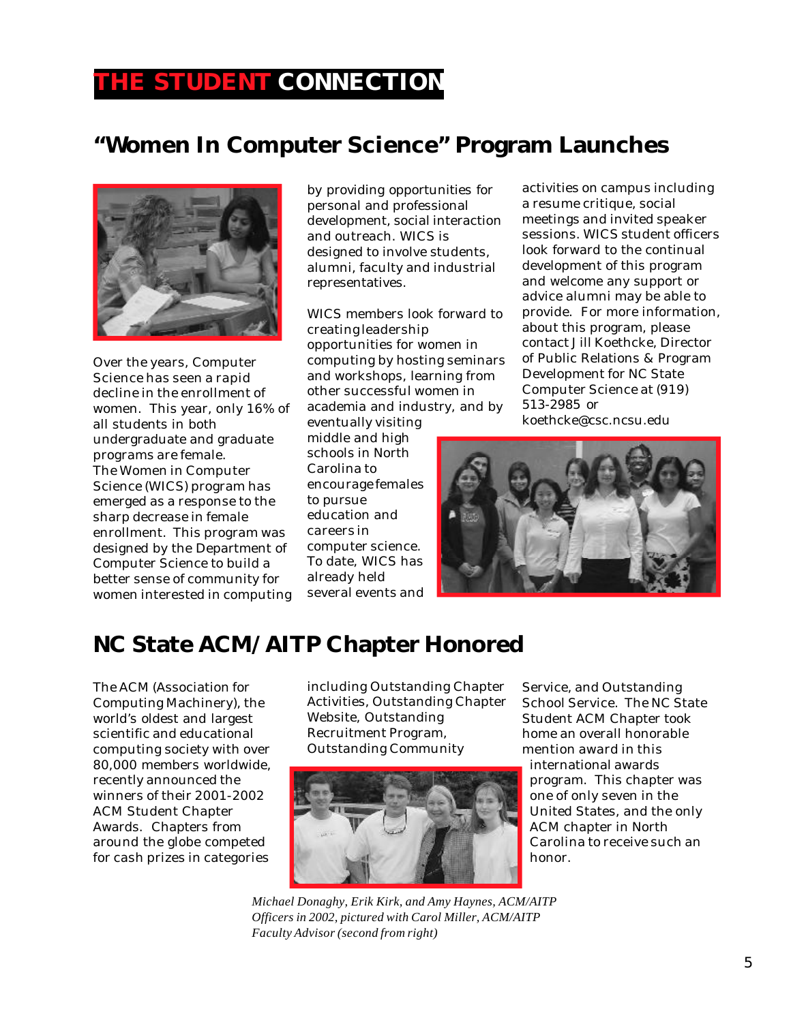## **THE STUDENT CONNECTION**

# **"Women In Computer Science" Program Launches**



Over the years, Computer Science has seen a rapid decline in the enrollment of women. This year, only 16% of all students in both undergraduate and graduate programs are female. The Women in Computer Science (WICS) program has emerged as a response to the sharp decrease in female enrollment. This program was designed by the Department of Computer Science to build a better sense of community for women interested in computing by providing opportunities for personal and professional development, social interaction and outreach. WICS is designed to involve students, alumni, faculty and industrial representatives.

WICS members look forward to creating leadership opportunities for women in computing by hosting seminars and workshops, learning from other successful women in academia and industry, and by

eventually visiting middle and high schools in North Carolina to encourage females to pursue education and careers in computer science. To date, WICS has already held several events and activities on campus including a resume critique, social meetings and invited speaker sessions. WICS student officers look forward to the continual development of this program and welcome any support or advice alumni may be able to provide. For more information, about this program, please contact Jill Koethcke, Director of Public Relations & Program Development for NC State Computer Science at (919) 513-2985 or koethcke@csc.ncsu.edu



## **NC State ACM/AITP Chapter Honored**

The ACM (Association for Computing Machinery), the world's oldest and largest scientific and educational computing society with over 80,000 members worldwide, recently announced the winners of their 2001-2002 ACM Student Chapter Awards. Chapters from around the globe competed for cash prizes in categories

including Outstanding Chapter Activities, Outstanding Chapter Website, Outstanding Recruitment Program, Outstanding Community



*Michael Donaghy, Erik Kirk, and Amy Haynes, ACM/AITP Officers in 2002, pictured with Carol Miller, ACM/AITP Faculty Advisor (second from right)*

Service, and Outstanding School Service. The NC State Student ACM Chapter took home an overall honorable mention award in this international awards program. This chapter was one of only seven in the United States, and the only ACM chapter in North Carolina to receive such an honor.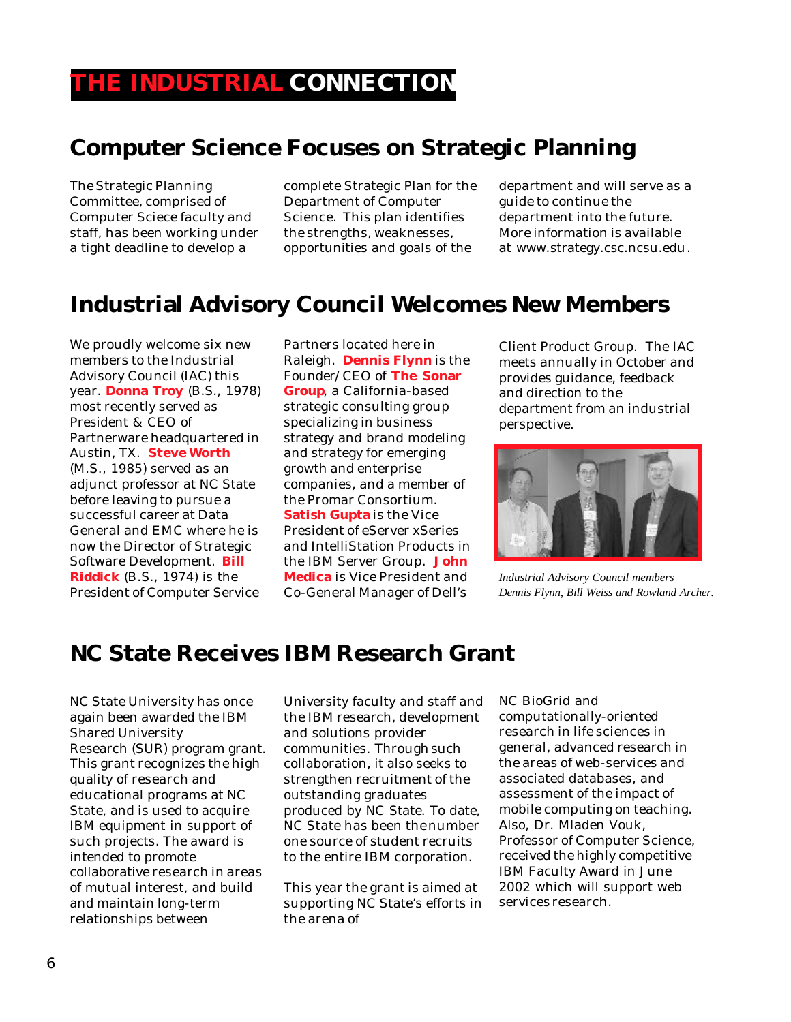# **Computer Science Focuses on Strategic Planning**

The Strategic Planning Committee, comprised of Computer Sciece faculty and staff, has been working under a tight deadline to develop a

complete Strategic Plan for the Department of Computer Science. This plan identifies the strengths, weaknesses, opportunities and goals of the

department and will serve as a guide to continue the department into the future. More information is available at www.strategy.csc.ncsu.edu.

## **Industrial Advisory Council Welcomes New Members**

We proudly welcome six new members to the Industrial Advisory Council (IAC) this year. **Donna Troy** (B.S., 1978) most recently served as President & CEO of Partnerware headquartered in Austin, TX. **Steve Worth** (M.S., 1985) served as an adjunct professor at NC State before leaving to pursue a successful career at Data General and EMC where he is now the Director of Strategic Software Development. **Bill Riddick** (B.S., 1974) is the President of Computer Service

Partners located here in Raleigh. **Dennis Flynn** is the Founder/CEO of **The Sonar Group**, a California-based strategic consulting group specializing in business strategy and brand modeling and strategy for emerging growth and enterprise companies, and a member of the Promar Consortium. **Satish Gupta** is the Vice President of eServer xSeries and IntelliStation Products in the IBM Server Group. **John Medica** is Vice President and Co-General Manager of Dell's

Client Product Group. The IAC meets annually in October and provides guidance, feedback and direction to the department from an industrial perspective.



*Industrial Advisory Council members Dennis Flynn, Bill Weiss and Rowland Archer.*

## **NC State Receives IBM Research Grant**

NC State University has once again been awarded the IBM Shared University Research (SUR) program grant. This grant recognizes the high quality of research and educational programs at NC State, and is used to acquire IBM equipment in support of such projects. The award is intended to promote collaborative research in areas of mutual interest, and build and maintain long-term relationships between

University faculty and staff and the IBM research, development and solutions provider communities. Through such collaboration, it also seeks to strengthen recruitment of the outstanding graduates produced by NC State. To date, NC State has been the number one source of student recruits to the entire IBM corporation.

This year the grant is aimed at supporting NC State's efforts in the arena of

NC BioGrid and computationally-oriented research in life sciences in general, advanced research in the areas of web-services and associated databases, and assessment of the impact of mobile computing on teaching. Also, Dr. Mladen Vouk, Professor of Computer Science, received the highly competitive IBM Faculty Award in June 2002 which will support web services research.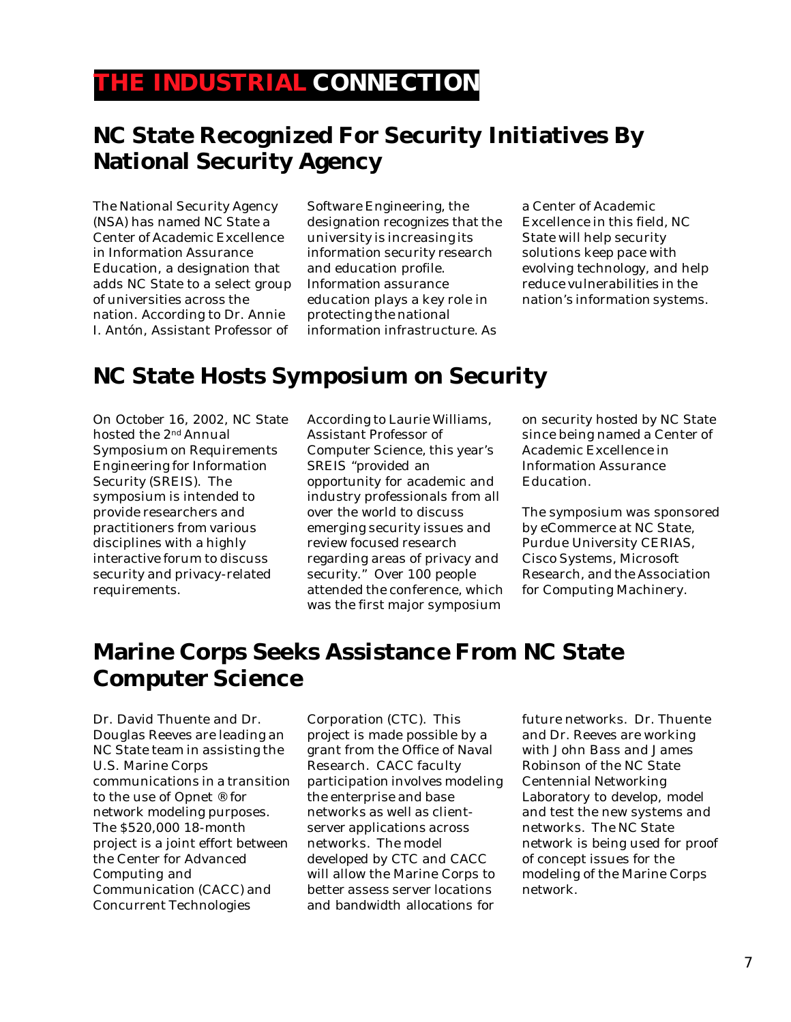## **THE INDUSTRIAL CONNECTION**

## **NC State Recognized For Security Initiatives By National Security Agency**

The National Security Agency (NSA) has named NC State a Center of Academic Excellence in Information Assurance Education, a designation that adds NC State to a select group of universities across the nation. According to Dr. Annie I. Antón, Assistant Professor of

Software Engineering, the designation recognizes that the university is increasing its information security research and education profile. Information assurance education plays a key role in protecting the national information infrastructure. As

a Center of Academic Excellence in this field, NC State will help security solutions keep pace with evolving technology, and help reduce vulnerabilities in the nation's information systems.

# **NC State Hosts Symposium on Security**

On October 16, 2002, NC State hosted the 2nd Annual Symposium on Requirements Engineering for Information Security (SREIS). The symposium is intended to provide researchers and practitioners from various disciplines with a highly interactive forum to discuss security and privacy-related requirements.

According to Laurie Williams, Assistant Professor of Computer Science, this year's SREIS "provided an opportunity for academic and industry professionals from all over the world to discuss emerging security issues and review focused research regarding areas of privacy and security." Over 100 people attended the conference, which was the first major symposium

on security hosted by NC State since being named a Center of Academic Excellence in Information Assurance Education.

The symposium was sponsored by eCommerce at NC State, Purdue University CERIAS, Cisco Systems, Microsoft Research, and the Association for Computing Machinery.

# **Marine Corps Seeks Assistance From NC State Computer Science**

Dr. David Thuente and Dr. Douglas Reeves are leading an NC State team in assisting the U.S. Marine Corps communications in a transition to the use of Opnet ® for network modeling purposes. The \$520,000 18-month project is a joint effort between the Center for Advanced Computing and Communication (CACC) and Concurrent Technologies

Corporation (CTC). This project is made possible by a grant from the Office of Naval Research. CACC faculty participation involves modeling the enterprise and base networks as well as clientserver applications across networks. The model developed by CTC and CACC will allow the Marine Corps to better assess server locations and bandwidth allocations for

future networks. Dr. Thuente and Dr. Reeves are working with John Bass and James Robinson of the NC State Centennial Networking Laboratory to develop, model and test the new systems and networks. The NC State network is being used for proof of concept issues for the modeling of the Marine Corps network.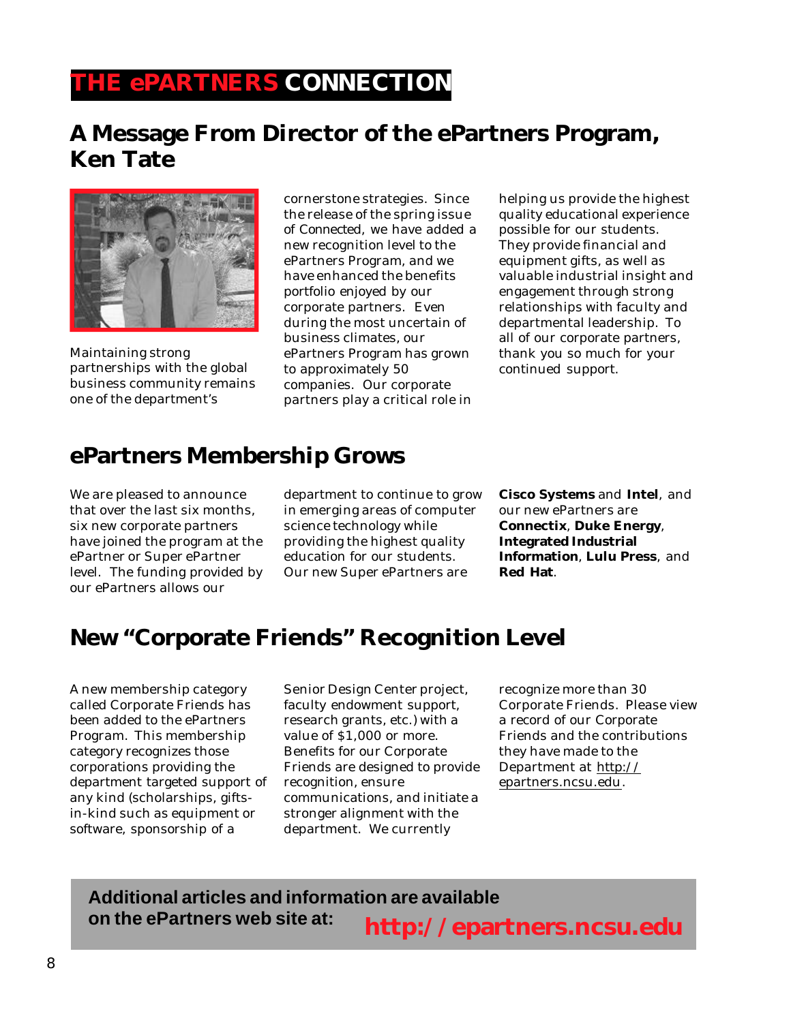# **THE ePARTNERS CONNECTION**

## **A Message From Director of the ePartners Program, Ken Tate**



Maintaining strong partnerships with the global business community remains one of the department's

cornerstone strategies. Since the release of the spring issue of *Connected*, we have added a new recognition level to the ePartners Program, and we have enhanced the benefits portfolio enjoyed by our corporate partners. Even during the most uncertain of business climates, our ePartners Program has grown to approximately 50 companies. Our corporate partners play a critical role in

helping us provide the highest quality educational experience possible for our students. They provide financial and equipment gifts, as well as valuable industrial insight and engagement through strong relationships with faculty and departmental leadership. To all of our corporate partners, thank you so much for your continued support.

## **ePartners Membership Grows**

We are pleased to announce that over the last six months, six new corporate partners have joined the program at the ePartner or Super ePartner level. The funding provided by our ePartners allows our

department to continue to grow in emerging areas of computer science technology while providing the highest quality education for our students. Our new Super ePartners are

**Cisco Systems** and **Intel**, and our new ePartners are **Connectix**, **Duke Energy**, **Integrated Industrial Information**, **Lulu Press**, and **Red Hat**.

# **New "Corporate Friends" Recognition Level**

A new membership category called Corporate Friends has been added to the ePartners Program. This membership category recognizes those corporations providing the department targeted support of any kind (scholarships, giftsin-kind such as equipment or software, sponsorship of a

Senior Design Center project, faculty endowment support, research grants, etc.) with a value of \$1,000 or more. Benefits for our Corporate Friends are designed to provide recognition, ensure communications, and initiate a stronger alignment with the department. We currently

recognize more than 30 Corporate Friends. Please view a record of our Corporate Friends and the contributions they have made to the Department at http:// epartners.ncsu.edu.

#### **http://epartners.ncsu.edu Additional articles and information are available on the ePartners web site at:**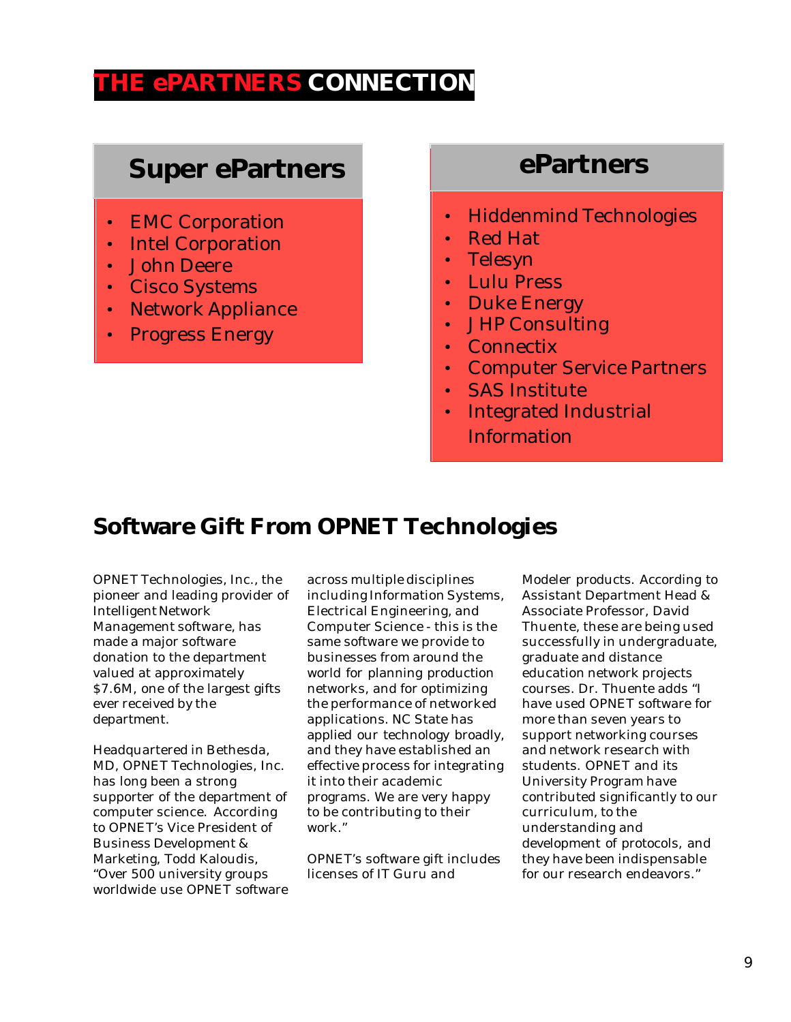## **THE ePARTNERS CONNECTION**

# **Super ePartners**

- EMC Corporation
- Intel Corporation
- John Deere
- Cisco Systems
- Network Appliance
- Progress Energy

# **ePartners**

- Hiddenmind Technologies
- Red Hat
- Telesyn
- Lulu Press
- Duke Energy
- JHP Consulting
- Connectix
- Computer Service Partners
- SAS Institute
- Integrated Industrial **Information**

### **Software Gift From OPNET Technologies**

OPNET Technologies, Inc., the pioneer and leading provider of Intelligent Network Management software, has made a major software donation to the department valued at approximately \$7.6M, one of the largest gifts ever received by the department.

Headquartered in Bethesda, MD, OPNET Technologies, Inc. has long been a strong supporter of the department of computer science. According to OPNET's Vice President of Business Development & Marketing, Todd Kaloudis, "Over 500 university groups worldwide use OPNET software across multiple disciplines including Information Systems, Electrical Engineering, and Computer Science - this is the same software we provide to businesses from around the world for planning production networks, and for optimizing the performance of networked applications. NC State has applied our technology broadly, and they have established an effective process for integrating it into their academic programs. We are very happy to be contributing to their work."

OPNET's software gift includes licenses of IT Guru and

Modeler products. According to Assistant Department Head & Associate Professor, David Thuente, these are being used successfully in undergraduate, graduate and distance education network projects courses. Dr. Thuente adds "I have used OPNET software for more than seven years to support networking courses and network research with students. OPNET and its University Program have contributed significantly to our curriculum, to the understanding and development of protocols, and they have been indispensable for our research endeavors."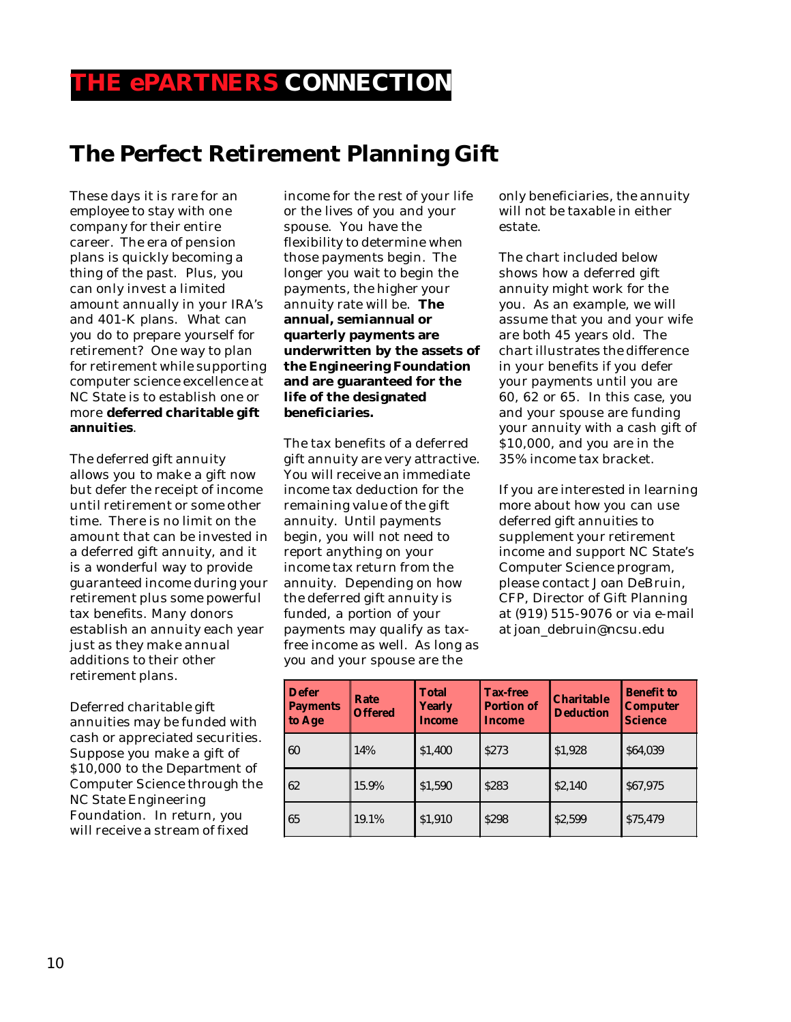## **THE ePARTNERS CONNECTION**

## **The Perfect Retirement Planning Gift**

These days it is rare for an employee to stay with one company for their entire career. The era of pension plans is quickly becoming a thing of the past. Plus, you can only invest a limited amount annually in your IRA's and 401-K plans. What can you do to prepare yourself for retirement? One way to plan for retirement while supporting computer science excellence at NC State is to establish one or more **deferred charitable gift annuities**.

The deferred gift annuity allows you to make a gift now but defer the receipt of income until retirement or some other time. There is no limit on the amount that can be invested in a deferred gift annuity, and it is a wonderful way to provide guaranteed income during your retirement plus some powerful tax benefits. Many donors establish an annuity each year just as they make annual additions to their other retirement plans.

Deferred charitable gift annuities may be funded with cash or appreciated securities. Suppose you make a gift of \$10,000 to the Department of Computer Science through the NC State Engineering Foundation. In return, you will receive a stream of fixed

income for the rest of your life or the lives of you and your spouse. You have the flexibility to determine when those payments begin. The longer you wait to begin the payments, the higher your annuity rate will be. **The annual, semiannual or quarterly payments are underwritten by the assets of the Engineering Foundation and are guaranteed for the life of the designated beneficiaries.**

The tax benefits of a deferred gift annuity are very attractive. You will receive an immediate income tax deduction for the remaining value of the gift annuity. Until payments begin, you will not need to report anything on your income tax return from the annuity. Depending on how the deferred gift annuity is funded, a portion of your payments may qualify as taxfree income as well. As long as you and your spouse are the

only beneficiaries, the annuity will not be taxable in either estate.

The chart included below shows how a deferred gift annuity might work for the you. As an example, we will assume that you and your wife are both 45 years old. The chart illustrates the difference in your benefits if you defer your payments until you are 60, 62 or 65. In this case, you and your spouse are funding your annuity with a cash gift of \$10,000, and you are in the 35% income tax bracket.

If you are interested in learning more about how you can use deferred gift annuities to supplement your retirement income and support NC State's Computer Science program, please contact Joan DeBruin, CFP, Director of Gift Planning at (919) 515-9076 or via e-mail at joan\_debruin@ncsu.edu

| <b>Defer</b><br><b>Payments</b><br>to Age | Rate<br><b>Offered</b> | <b>Total</b><br><b>Yearly</b><br>Income | <b>Tax-free</b><br><b>Portion of</b><br>Income | <b>Charitable</b><br><b>Deduction</b> | <b>Benefit to</b><br><b>Computer</b><br><b>Science</b> |
|-------------------------------------------|------------------------|-----------------------------------------|------------------------------------------------|---------------------------------------|--------------------------------------------------------|
| 60                                        | 14%                    | \$1,400                                 | <b>S273</b>                                    | \$1,928                               | \$64,039                                               |
| 62                                        | 15.9%                  | \$1,590                                 | <b>S283</b>                                    | \$2,140                               | \$67,975                                               |
| 65                                        | 19.1%                  | \$1.910                                 | <b>S298</b>                                    | \$2,599                               | \$75,479                                               |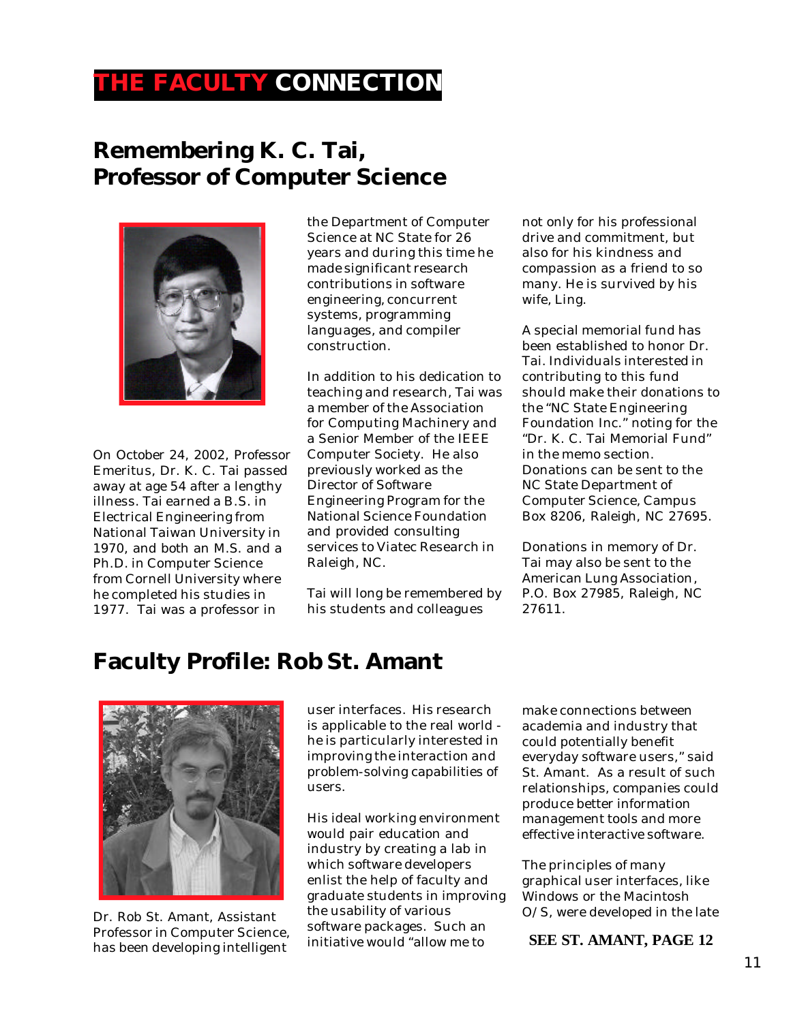# **THE FACULTY CONNECTION**

## **Remembering K. C. Tai, Professor of Computer Science**



On October 24, 2002, Professor Emeritus, Dr. K. C. Tai passed away at age 54 after a lengthy illness. Tai earned a B.S. in Electrical Engineering from National Taiwan University in 1970, and both an M.S. and a Ph.D. in Computer Science from Cornell University where he completed his studies in 1977. Tai was a professor in

the Department of Computer Science at NC State for 26 years and during this time he made significant research contributions in software engineering, concurrent systems, programming languages, and compiler construction.

In addition to his dedication to teaching and research, Tai was a member of the Association for Computing Machinery and a Senior Member of the IEEE Computer Society. He also previously worked as the Director of Software Engineering Program for the National Science Foundation and provided consulting services to Viatec Research in Raleigh, NC.

Tai will long be remembered by his students and colleagues

not only for his professional drive and commitment, but also for his kindness and compassion as a friend to so many. He is survived by his wife, Ling.

A special memorial fund has been established to honor Dr. Tai. Individuals interested in contributing to this fund should make their donations to the "NC State Engineering Foundation Inc." noting for the "Dr. K. C. Tai Memorial Fund" in the memo section. Donations can be sent to the NC State Department of Computer Science, Campus Box 8206, Raleigh, NC 27695.

Donations in memory of Dr. Tai may also be sent to the American Lung Association, P.O. Box 27985, Raleigh, NC 27611.

# **Faculty Profile: Rob St. Amant**



Dr. Rob St. Amant, Assistant Professor in Computer Science, has been developing intelligent

user interfaces. His research is applicable to the real world he is particularly interested in improving the interaction and problem-solving capabilities of users.

His ideal working environment would pair education and industry by creating a lab in which software developers enlist the help of faculty and graduate students in improving the usability of various software packages. Such an initiative would "allow me to

make connections between academia and industry that could potentially benefit everyday software users," said St. Amant. As a result of such relationships, companies could produce better information management tools and more effective interactive software.

The principles of many graphical user interfaces, like Windows or the Macintosh O/S, were developed in the late

**SEE ST. AMANT, PAGE 12**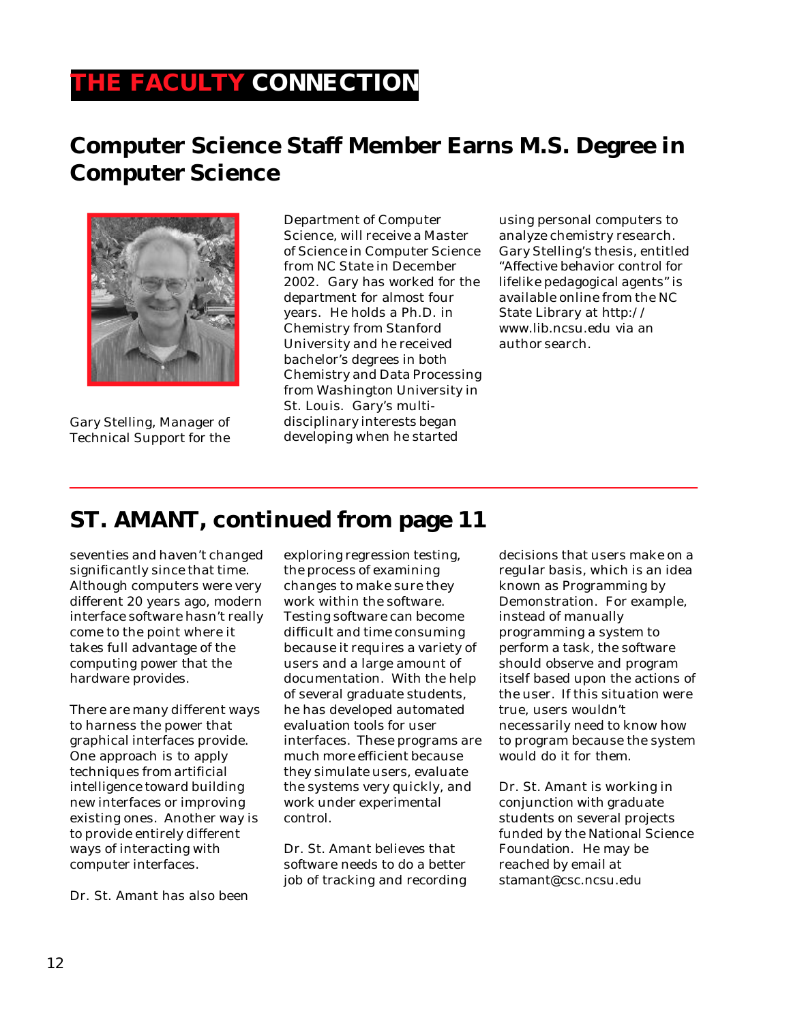# **THE FACULTY CONNECTION**

# **Computer Science Staff Member Earns M.S. Degree in Computer Science**



Gary Stelling, Manager of Technical Support for the

Department of Computer Science, will receive a Master of Science in Computer Science from NC State in December 2002. Gary has worked for the department for almost four years. He holds a Ph.D. in Chemistry from Stanford University and he received bachelor's degrees in both Chemistry and Data Processing from Washington University in St. Louis. Gary's multidisciplinary interests began developing when he started

using personal computers to analyze chemistry research. Gary Stelling's thesis, entitled "Affective behavior control for lifelike pedagogical agents" is available online from the NC State Library at http:// www.lib.ncsu.edu via an author search.

### **ST. AMANT, continued from page 11**

seventies and haven't changed significantly since that time. Although computers were very different 20 years ago, modern interface software hasn't really come to the point where it takes full advantage of the computing power that the hardware provides.

There are many different ways to harness the power that graphical interfaces provide. One approach is to apply techniques from artificial intelligence toward building new interfaces or improving existing ones. Another way is to provide entirely different ways of interacting with computer interfaces.

Dr. St. Amant has also been

exploring regression testing, the process of examining changes to make sure they work within the software. Testing software can become difficult and time consuming because it requires a variety of users and a large amount of documentation. With the help of several graduate students, he has developed automated evaluation tools for user interfaces. These programs are much more efficient because they simulate users, evaluate the systems very quickly, and work under experimental control.

Dr. St. Amant believes that software needs to do a better job of tracking and recording

decisions that users make on a regular basis, which is an idea known as Programming by Demonstration. For example, instead of manually programming a system to perform a task, the software should observe and program itself based upon the actions of the user. If this situation were true, users wouldn't necessarily need to know how to program because the system would do it for them.

Dr. St. Amant is working in conjunction with graduate students on several projects funded by the National Science Foundation. He may be reached by email at stamant@csc.ncsu.edu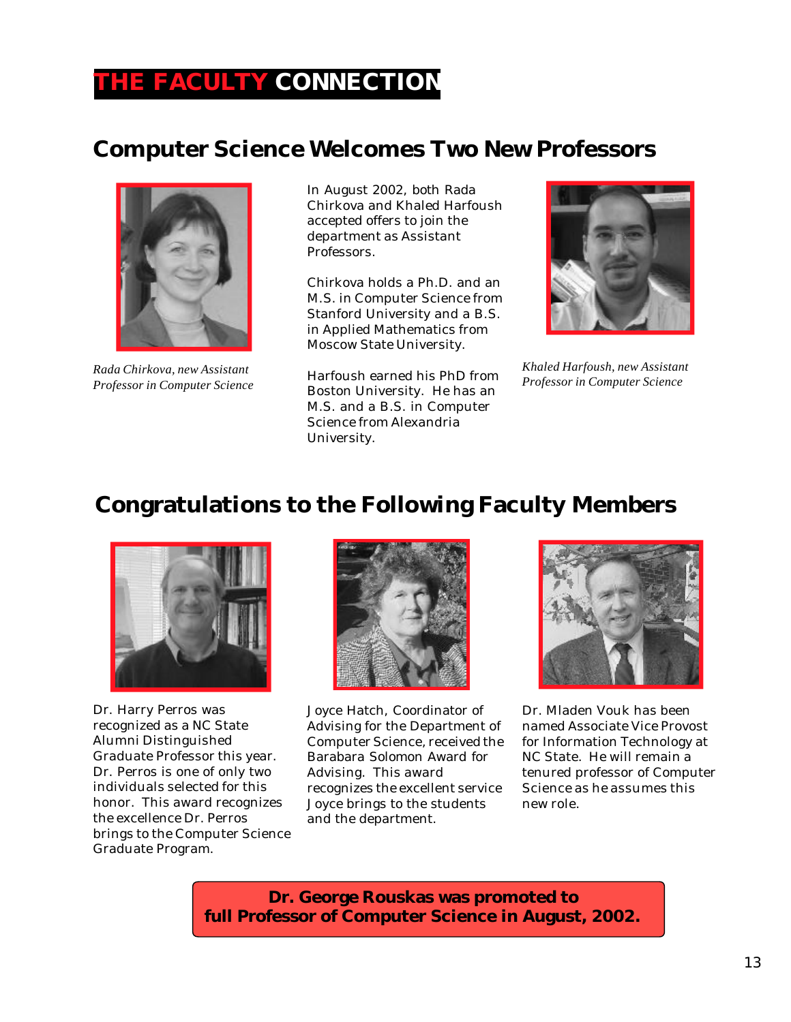# **THE FACULTY CONNECTION**

## **Computer Science Welcomes Two New Professors**



*Rada Chirkova, new Assistant Professor in Computer Science*

In August 2002, both Rada Chirkova and Khaled Harfoush accepted offers to join the department as Assistant Professors.

Chirkova holds a Ph.D. and an M.S. in Computer Science from Stanford University and a B.S. in Applied Mathematics from Moscow State University.

Harfoush earned his PhD from Boston University. He has an M.S. and a B.S. in Computer Science from Alexandria University.



*Khaled Harfoush, new Assistant Professor in Computer Science*

## **Congratulations to the Following Faculty Members**



Dr. Harry Perros was recognized as a NC State Alumni Distinguished Graduate Professor this year. Dr. Perros is one of only two individuals selected for this honor. This award recognizes the excellence Dr. Perros brings to the Computer Science Graduate Program.



Joyce Hatch, Coordinator of Advising for the Department of Computer Science, received the Barabara Solomon Award for Advising. This award recognizes the excellent service Joyce brings to the students and the department.



Dr. Mladen Vouk has been named Associate Vice Provost for Information Technology at NC State. He will remain a tenured professor of Computer Science as he assumes this new role.

**Dr. George Rouskas was promoted to full Professor of Computer Science in August, 2002.**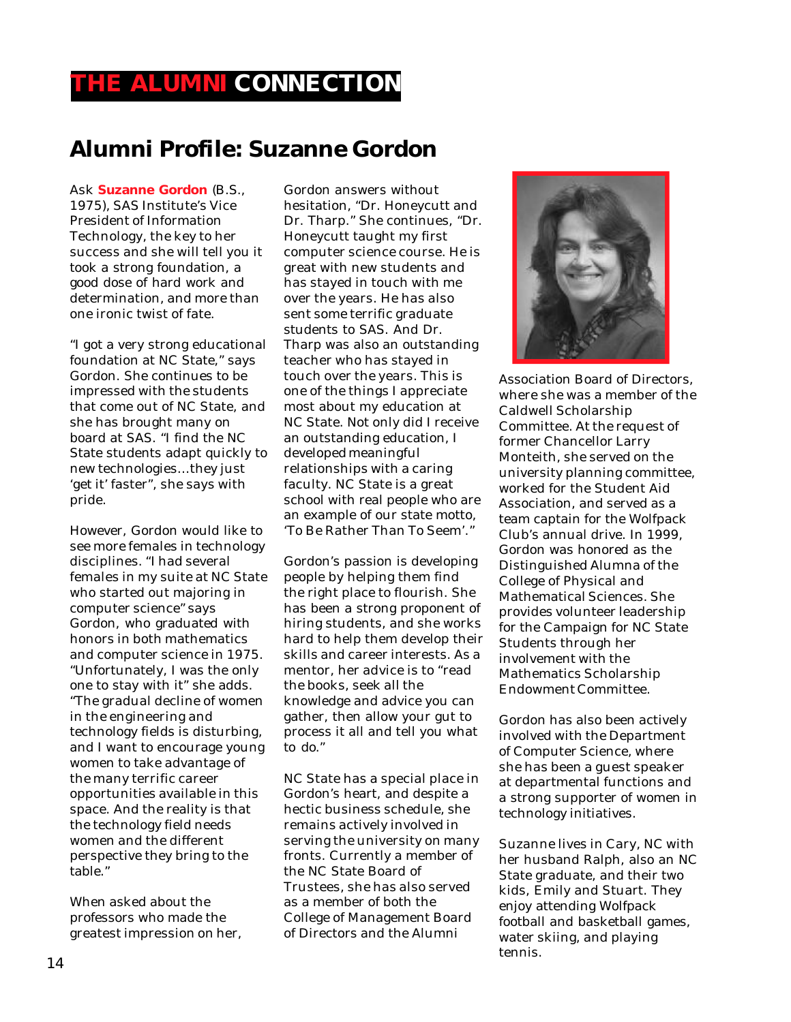## **THE ALUMNI CONNECTION**

## **Alumni Profile: Suzanne Gordon**

Ask **Suzanne Gordon** (B.S., 1975), SAS Institute's Vice President of Information Technology, the key to her success and she will tell you it took a strong foundation, a good dose of hard work and determination, and more than one ironic twist of fate.

"I got a very strong educational foundation at NC State," says Gordon. She continues to be impressed with the students that come out of NC State, and she has brought many on board at SAS. "I find the NC State students adapt quickly to new technologies…they just 'get it' faster", she says with pride.

However, Gordon would like to see more females in technology disciplines. "I had several females in my suite at NC State who started out majoring in computer science" says Gordon, who graduated with honors in both mathematics and computer science in 1975. "Unfortunately, I was the only one to stay with it" she adds. "The gradual decline of women in the engineering and technology fields is disturbing, and I want to encourage young women to take advantage of the many terrific career opportunities available in this space. And the reality is that the technology field needs women and the different perspective they bring to the table."

When asked about the professors who made the greatest impression on her, Gordon answers without hesitation, "Dr. Honeycutt and Dr. Tharp." She continues, "Dr. Honeycutt taught my first computer science course. He is great with new students and has stayed in touch with me over the years. He has also sent some terrific graduate students to SAS. And Dr. Tharp was also an outstanding teacher who has stayed in touch over the years. This is one of the things I appreciate most about my education at NC State. Not only did I receive an outstanding education, I developed meaningful relationships with a caring faculty. NC State is a great school with real people who are an example of our state motto, 'To Be Rather Than To Seem'."

Gordon's passion is developing people by helping them find the right place to flourish. She has been a strong proponent of hiring students, and she works hard to help them develop their skills and career interests. As a mentor, her advice is to "read the books, seek all the knowledge and advice you can gather, then allow your gut to process it all and tell you what to do."

NC State has a special place in Gordon's heart, and despite a hectic business schedule, she remains actively involved in serving the university on many fronts. Currently a member of the NC State Board of Trustees, she has also served as a member of both the College of Management Board of Directors and the Alumni



Association Board of Directors, where she was a member of the Caldwell Scholarship Committee. At the request of former Chancellor Larry Monteith, she served on the university planning committee, worked for the Student Aid Association, and served as a team captain for the Wolfpack Club's annual drive. In 1999, Gordon was honored as the Distinguished Alumna of the College of Physical and Mathematical Sciences. She provides volunteer leadership for the Campaign for NC State Students through her involvement with the Mathematics Scholarship Endowment Committee.

Gordon has also been actively involved with the Department of Computer Science, where she has been a guest speaker at departmental functions and a strong supporter of women in technology initiatives.

Suzanne lives in Cary, NC with her husband Ralph, also an NC State graduate, and their two kids, Emily and Stuart. They enjoy attending Wolfpack football and basketball games, water skiing, and playing tennis.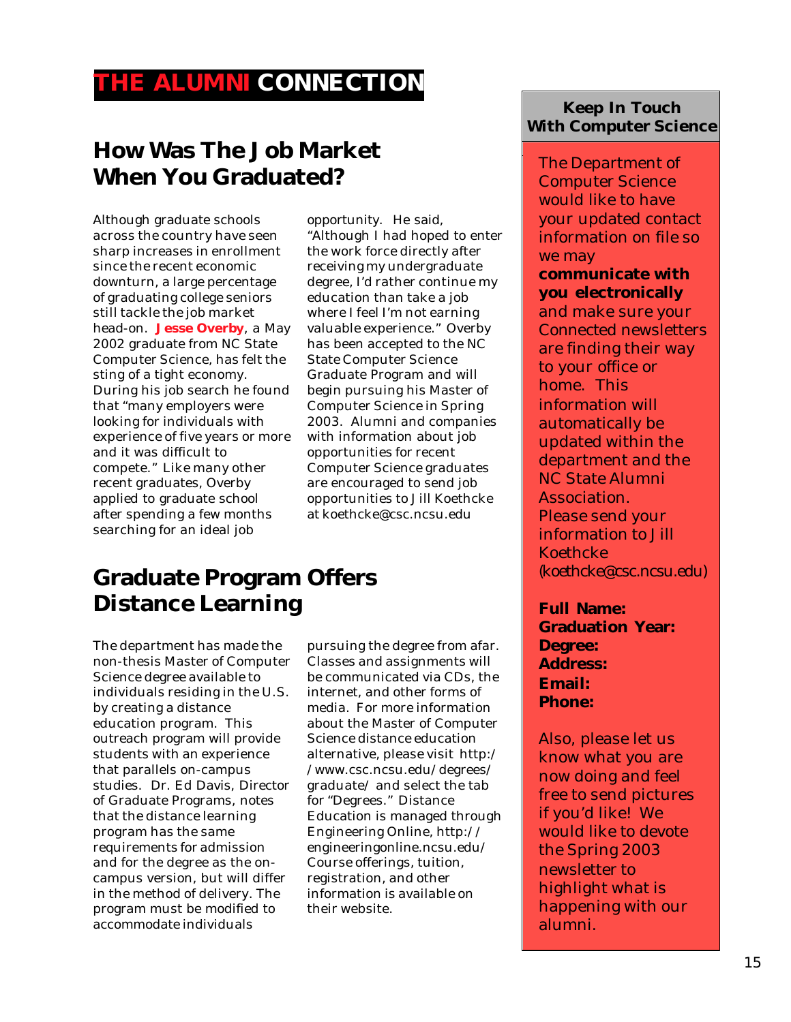## **THE ALUMNI CONNECTION**

# **How Was The Job Market When You Graduated?**

Although graduate schools across the country have seen sharp increases in enrollment since the recent economic downturn, a large percentage of graduating college seniors still tackle the job market head-on. **Jesse Overby**, a May 2002 graduate from NC State Computer Science, has felt the sting of a tight economy. During his job search he found that "many employers were looking for individuals with experience of five years or more and it was difficult to compete." Like many other recent graduates, Overby applied to graduate school after spending a few months searching for an ideal job

opportunity. He said, "Although I had hoped to enter the work force directly after receiving my undergraduate degree, I'd rather continue my education than take a job where I feel I'm not earning valuable experience." Overby has been accepted to the NC State Computer Science Graduate Program and will begin pursuing his Master of Computer Science in Spring 2003. Alumni and companies with information about job opportunities for recent Computer Science graduates are encouraged to send job opportunities to Jill Koethcke at koethcke@csc.ncsu.edu

## **Graduate Program Offers Distance Learning**

The department has made the non-thesis Master of Computer Science degree available to individuals residing in the U.S. by creating a distance education program. This outreach program will provide students with an experience that parallels on-campus studies. Dr. Ed Davis, Director of Graduate Programs, notes that the distance learning program has the same requirements for admission and for the degree as the oncampus version, but will differ in the method of delivery. The program must be modified to accommodate individuals

pursuing the degree from afar. Classes and assignments will be communicated via CDs, the internet, and other forms of media. For more information about the Master of Computer Science distance education alternative, please visit http:/ /www.csc.ncsu.edu/degrees/ graduate/ and select the tab for "Degrees." Distance Education is managed through Engineering Online, http:// engineeringonline.ncsu.edu/ Course offerings, tuition, registration, and other information is available on their website.

### **Keep In Touch With Computer Science**

The Department of Computer Science would like to have your updated contact information on file so we may

#### **communicate with you electronically**

and make sure your *Connected* newsletters are finding their way to your office or home. This information will automatically be updated within the department and the NC State Alumni Association. Please send your information to Jill Koethcke (koethcke@csc.ncsu.edu)

**Full Name: Graduation Year: Degree: Address: Email: Phone:**

Also, please let us know what you are now doing and feel free to send pictures if you'd like! We would like to devote the Spring 2003 newsletter to highlight what is happening with our alumni.